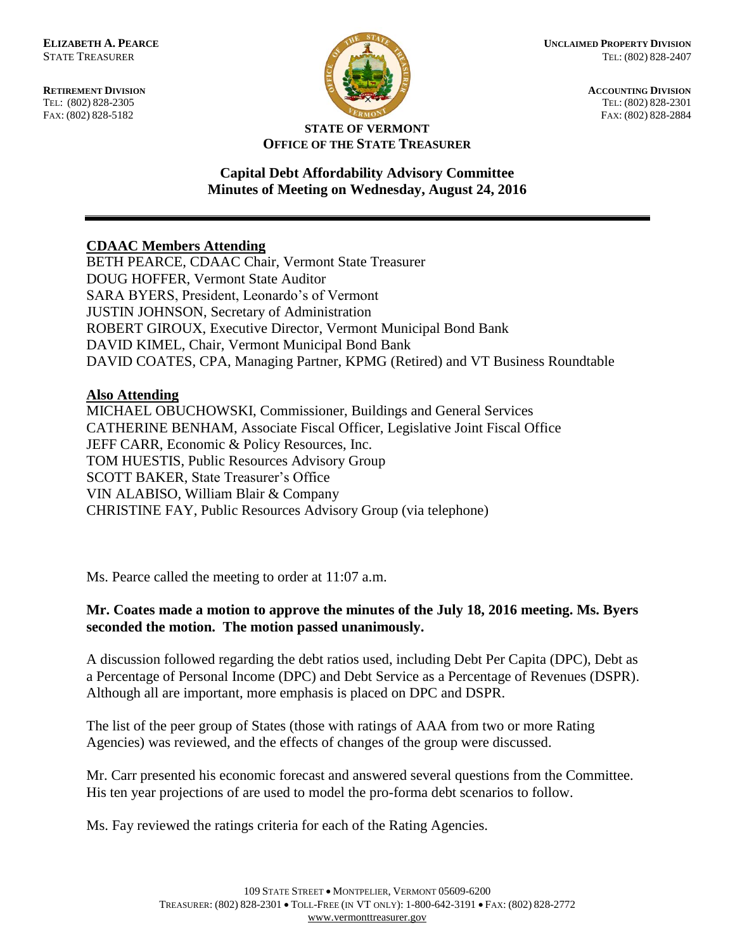FAX: (802) 828-5182



**RETIREMENT DIVISION**<br> **RETIREMENT DIVISION**<br> **ACCOUNTING DIVISION**<br> **RETIREMENT DIVISION**<br> **RETIREMENT DIVISION** TEL: (802) 828-2301<br>FAX: (802) 828-2884

#### **STATE OF VERMONT OFFICE OF THE STATE TREASURER**

## **Capital Debt Affordability Advisory Committee Minutes of Meeting on Wednesday, August 24, 2016**

## **CDAAC Members Attending**

BETH PEARCE, CDAAC Chair, Vermont State Treasurer DOUG HOFFER, Vermont State Auditor SARA BYERS, President, Leonardo's of Vermont JUSTIN JOHNSON, Secretary of Administration ROBERT GIROUX, Executive Director, Vermont Municipal Bond Bank DAVID KIMEL, Chair, Vermont Municipal Bond Bank DAVID COATES, CPA, Managing Partner, KPMG (Retired) and VT Business Roundtable

### **Also Attending**

MICHAEL OBUCHOWSKI, Commissioner, Buildings and General Services CATHERINE BENHAM, Associate Fiscal Officer, Legislative Joint Fiscal Office JEFF CARR, Economic & Policy Resources, Inc. TOM HUESTIS, Public Resources Advisory Group SCOTT BAKER, State Treasurer's Office VIN ALABISO, William Blair & Company CHRISTINE FAY, Public Resources Advisory Group (via telephone)

Ms. Pearce called the meeting to order at 11:07 a.m.

# **Mr. Coates made a motion to approve the minutes of the July 18, 2016 meeting. Ms. Byers seconded the motion. The motion passed unanimously.**

A discussion followed regarding the debt ratios used, including Debt Per Capita (DPC), Debt as a Percentage of Personal Income (DPC) and Debt Service as a Percentage of Revenues (DSPR). Although all are important, more emphasis is placed on DPC and DSPR.

The list of the peer group of States (those with ratings of AAA from two or more Rating Agencies) was reviewed, and the effects of changes of the group were discussed.

Mr. Carr presented his economic forecast and answered several questions from the Committee. His ten year projections of are used to model the pro-forma debt scenarios to follow.

Ms. Fay reviewed the ratings criteria for each of the Rating Agencies.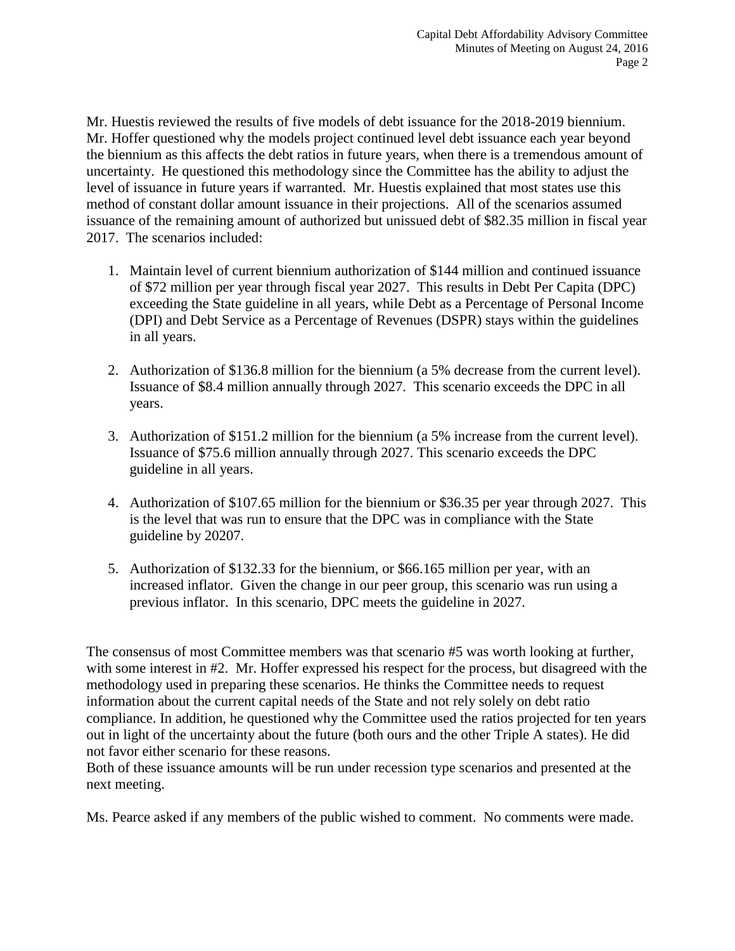Mr. Huestis reviewed the results of five models of debt issuance for the 2018-2019 biennium. Mr. Hoffer questioned why the models project continued level debt issuance each year beyond the biennium as this affects the debt ratios in future years, when there is a tremendous amount of uncertainty. He questioned this methodology since the Committee has the ability to adjust the level of issuance in future years if warranted. Mr. Huestis explained that most states use this method of constant dollar amount issuance in their projections. All of the scenarios assumed issuance of the remaining amount of authorized but unissued debt of \$82.35 million in fiscal year 2017. The scenarios included:

- 1. Maintain level of current biennium authorization of \$144 million and continued issuance of \$72 million per year through fiscal year 2027. This results in Debt Per Capita (DPC) exceeding the State guideline in all years, while Debt as a Percentage of Personal Income (DPI) and Debt Service as a Percentage of Revenues (DSPR) stays within the guidelines in all years.
- 2. Authorization of \$136.8 million for the biennium (a 5% decrease from the current level). Issuance of \$8.4 million annually through 2027. This scenario exceeds the DPC in all years.
- 3. Authorization of \$151.2 million for the biennium (a 5% increase from the current level). Issuance of \$75.6 million annually through 2027. This scenario exceeds the DPC guideline in all years.
- 4. Authorization of \$107.65 million for the biennium or \$36.35 per year through 2027. This is the level that was run to ensure that the DPC was in compliance with the State guideline by 20207.
- 5. Authorization of \$132.33 for the biennium, or \$66.165 million per year, with an increased inflator. Given the change in our peer group, this scenario was run using a previous inflator. In this scenario, DPC meets the guideline in 2027.

The consensus of most Committee members was that scenario #5 was worth looking at further, with some interest in #2. Mr. Hoffer expressed his respect for the process, but disagreed with the methodology used in preparing these scenarios. He thinks the Committee needs to request information about the current capital needs of the State and not rely solely on debt ratio compliance. In addition, he questioned why the Committee used the ratios projected for ten years out in light of the uncertainty about the future (both ours and the other Triple A states). He did not favor either scenario for these reasons.

Both of these issuance amounts will be run under recession type scenarios and presented at the next meeting.

Ms. Pearce asked if any members of the public wished to comment. No comments were made.